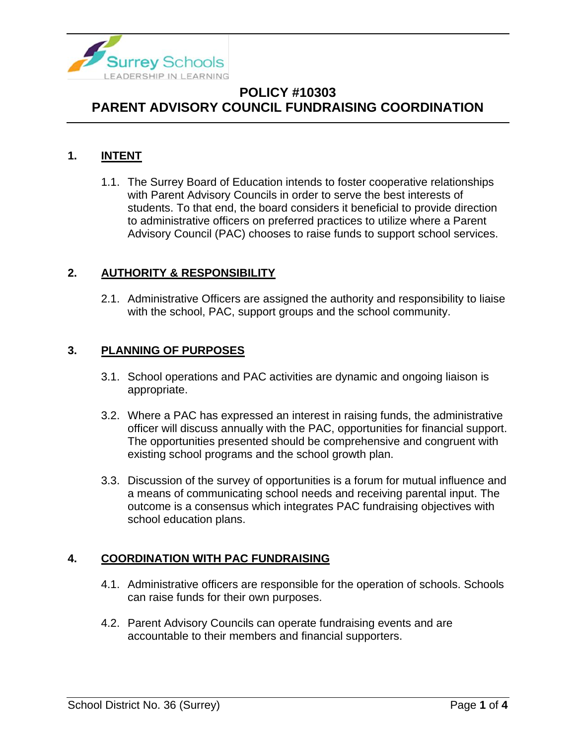

### **1. INTENT**

1.1. The Surrey Board of Education intends to foster cooperative relationships with Parent Advisory Councils in order to serve the best interests of students. To that end, the board considers it beneficial to provide direction to administrative officers on preferred practices to utilize where a Parent Advisory Council (PAC) chooses to raise funds to support school services.

#### **2. AUTHORITY & RESPONSIBILITY**

2.1. Administrative Officers are assigned the authority and responsibility to liaise with the school, PAC, support groups and the school community.

### **3. PLANNING OF PURPOSES**

- 3.1. School operations and PAC activities are dynamic and ongoing liaison is appropriate.
- 3.2. Where a PAC has expressed an interest in raising funds, the administrative officer will discuss annually with the PAC, opportunities for financial support. The opportunities presented should be comprehensive and congruent with existing school programs and the school growth plan.
- 3.3. Discussion of the survey of opportunities is a forum for mutual influence and a means of communicating school needs and receiving parental input. The outcome is a consensus which integrates PAC fundraising objectives with school education plans.

### **4. COORDINATION WITH PAC FUNDRAISING**

- 4.1. Administrative officers are responsible for the operation of schools. Schools can raise funds for their own purposes.
- 4.2. Parent Advisory Councils can operate fundraising events and are accountable to their members and financial supporters.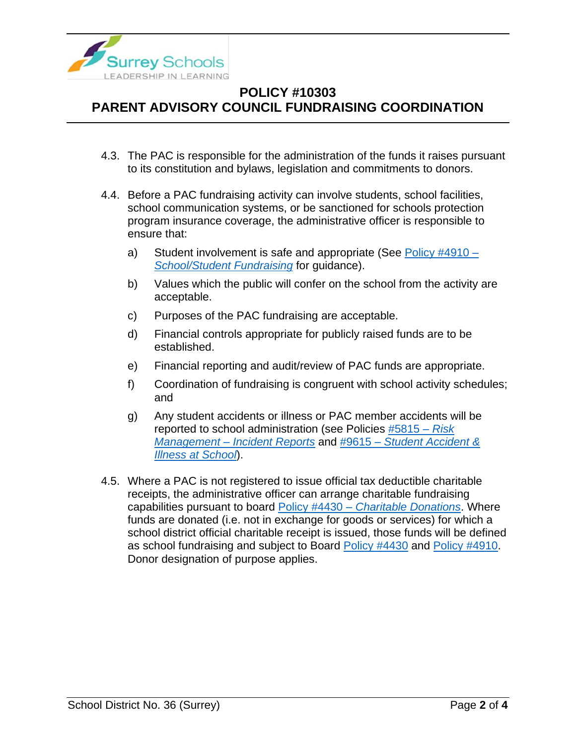

- 4.3. The PAC is responsible for the administration of the funds it raises pursuant to its constitution and bylaws, legislation and commitments to donors.
- 4.4. Before a PAC fundraising activity can involve students, school facilities, school communication systems, or be sanctioned for schools protection program insurance coverage, the administrative officer is responsible to ensure that:
	- a) Student involvement is safe and appropriate (See [Policy #4910 –](https://www.surreyschools.ca/departments/SECT/PoliciesRegulations/section_4000/Documents/4910%20Policy.pdf) *[School/Student Fundraising](https://www.surreyschools.ca/departments/SECT/PoliciesRegulations/section_4000/Documents/4910%20Policy.pdf)* for guidance).
	- b) Values which the public will confer on the school from the activity are acceptable.
	- c) Purposes of the PAC fundraising are acceptable.
	- d) Financial controls appropriate for publicly raised funds are to be established.
	- e) Financial reporting and audit/review of PAC funds are appropriate.
	- f) Coordination of fundraising is congruent with school activity schedules; and
	- g) Any student accidents or illness or PAC member accidents will be reported to school administration (see Policies [#5815 –](https://www.surreyschools.ca/departments/SECT/PoliciesRegulations/section_5000/Documents/5815%20Policy.pdf) *Risk Management – [Incident Reports](https://www.surreyschools.ca/departments/SECT/PoliciesRegulations/section_5000/Documents/5815%20Policy.pdf)* and #9615 – *[Student Accident &](https://www.surreyschools.ca/departments/SECT/PoliciesRegulations/section_9000/Documents/9615%20Policy.pdf)  [Illness at School](https://www.surreyschools.ca/departments/SECT/PoliciesRegulations/section_9000/Documents/9615%20Policy.pdf)*).
- 4.5. Where a PAC is not registered to issue official tax deductible charitable receipts, the administrative officer can arrange charitable fundraising capabilities pursuant to board Policy #4430 – *[Charitable Donations](https://www.surreyschools.ca/departments/SECT/PoliciesRegulations/section_4000/Documents/4430%20Policy.pdf)*. Where funds are donated (i.e. not in exchange for goods or services) for which a school district official charitable receipt is issued, those funds will be defined as school fundraising and subject to Board [Policy #4430](https://www.surreyschools.ca/departments/SECT/PoliciesRegulations/section_4000/Documents/4430%20Policy.pdf) and [Policy #4910.](https://www.surreyschools.ca/departments/SECT/PoliciesRegulations/section_4000/Documents/4910%20Policy.pdf) Donor designation of purpose applies.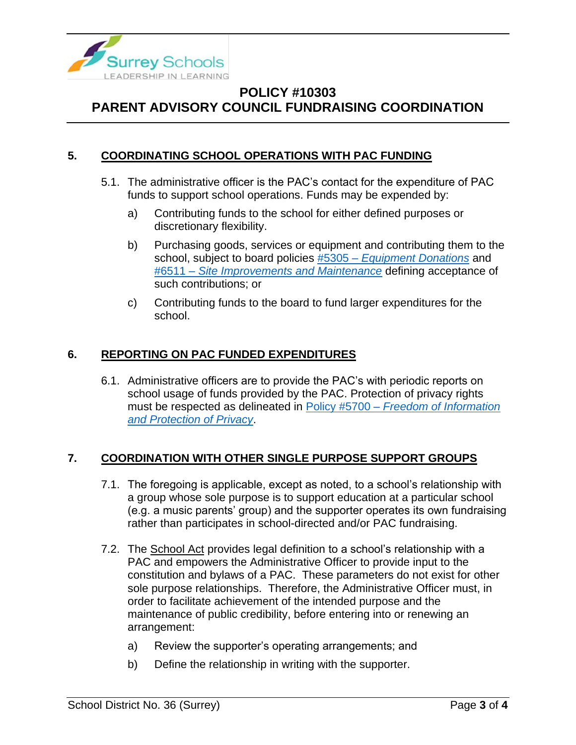

### **5. COORDINATING SCHOOL OPERATIONS WITH PAC FUNDING**

- 5.1. The administrative officer is the PAC's contact for the expenditure of PAC funds to support school operations. Funds may be expended by:
	- a) Contributing funds to the school for either defined purposes or discretionary flexibility.
	- b) Purchasing goods, services or equipment and contributing them to the school, subject to board policies #5305 – *[Equipment Donations](https://www.surreyschools.ca/departments/SECT/PoliciesRegulations/section_5000/Documents/5305%20Policy.pdf)* and #6511 – *[Site Improvements and Maintenance](https://www.surreyschools.ca/departments/SECT/PoliciesRegulations/section_6000/Documents/6511%20Policy.pdf)* defining acceptance of such contributions; or
	- c) Contributing funds to the board to fund larger expenditures for the school.

### **6. REPORTING ON PAC FUNDED EXPENDITURES**

6.1. Administrative officers are to provide the PAC's with periodic reports on school usage of funds provided by the PAC. Protection of privacy rights must be respected as delineated in Policy #5700 – *[Freedom of Information](https://www.surreyschools.ca/departments/SECT/PoliciesRegulations/section_5000/Documents/5700%20Policy.pdf)  [and Protection of Privacy](https://www.surreyschools.ca/departments/SECT/PoliciesRegulations/section_5000/Documents/5700%20Policy.pdf)*.

### **7. COORDINATION WITH OTHER SINGLE PURPOSE SUPPORT GROUPS**

- 7.1. The foregoing is applicable, except as noted, to a school's relationship with a group whose sole purpose is to support education at a particular school (e.g. a music parents' group) and the supporter operates its own fundraising rather than participates in school-directed and/or PAC fundraising.
- 7.2. The School Act provides legal definition to a school's relationship with a PAC and empowers the Administrative Officer to provide input to the constitution and bylaws of a PAC. These parameters do not exist for other sole purpose relationships. Therefore, the Administrative Officer must, in order to facilitate achievement of the intended purpose and the maintenance of public credibility, before entering into or renewing an arrangement:
	- a) Review the supporter's operating arrangements; and
	- b) Define the relationship in writing with the supporter.